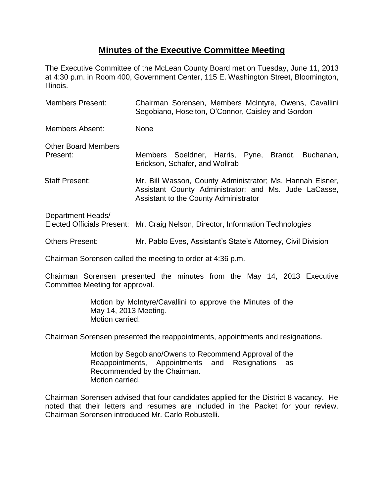## **Minutes of the Executive Committee Meeting**

The Executive Committee of the McLean County Board met on Tuesday, June 11, 2013 at 4:30 p.m. in Room 400, Government Center, 115 E. Washington Street, Bloomington, Illinois.

| <b>Members Present:</b>                | Chairman Sorensen, Members McIntyre, Owens, Cavallini<br>Segobiano, Hoselton, O'Connor, Caisley and Gordon                                                  |
|----------------------------------------|-------------------------------------------------------------------------------------------------------------------------------------------------------------|
| <b>Members Absent:</b>                 | <b>None</b>                                                                                                                                                 |
| <b>Other Board Members</b><br>Present: | Members Soeldner, Harris, Pyne, Brandt, Buchanan,<br>Erickson, Schafer, and Wollrab                                                                         |
| <b>Staff Present:</b>                  | Mr. Bill Wasson, County Administrator; Ms. Hannah Eisner,<br>Assistant County Administrator; and Ms. Jude LaCasse,<br>Assistant to the County Administrator |
| Department Heads/                      | Elected Officials Present: Mr. Craig Nelson, Director, Information Technologies                                                                             |

Others Present: Mr. Pablo Eves, Assistant's State's Attorney, Civil Division

Chairman Sorensen called the meeting to order at 4:36 p.m.

Chairman Sorensen presented the minutes from the May 14, 2013 Executive Committee Meeting for approval.

> Motion by McIntyre/Cavallini to approve the Minutes of the May 14, 2013 Meeting. Motion carried.

Chairman Sorensen presented the reappointments, appointments and resignations.

Motion by Segobiano/Owens to Recommend Approval of the Reappointments, Appointments and Resignations as Recommended by the Chairman. Motion carried.

Chairman Sorensen advised that four candidates applied for the District 8 vacancy. He noted that their letters and resumes are included in the Packet for your review. Chairman Sorensen introduced Mr. Carlo Robustelli.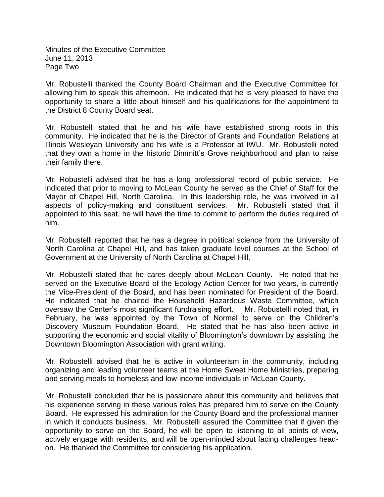Minutes of the Executive Committee June 11, 2013 Page Two

Mr. Robustelli thanked the County Board Chairman and the Executive Committee for allowing him to speak this afternoon. He indicated that he is very pleased to have the opportunity to share a little about himself and his qualifications for the appointment to the District 8 County Board seat.

Mr. Robustelli stated that he and his wife have established strong roots in this community. He indicated that he is the Director of Grants and Foundation Relations at Illinois Wesleyan University and his wife is a Professor at IWU. Mr. Robustelli noted that they own a home in the historic Dimmitt's Grove neighborhood and plan to raise their family there.

Mr. Robustelli advised that he has a long professional record of public service. He indicated that prior to moving to McLean County he served as the Chief of Staff for the Mayor of Chapel Hill, North Carolina. In this leadership role, he was involved in all aspects of policy-making and constituent services. Mr. Robustelli stated that if appointed to this seat, he will have the time to commit to perform the duties required of him.

Mr. Robustelli reported that he has a degree in political science from the University of North Carolina at Chapel Hill, and has taken graduate level courses at the School of Government at the University of North Carolina at Chapel Hill.

Mr. Robustelli stated that he cares deeply about McLean County. He noted that he served on the Executive Board of the Ecology Action Center for two years, is currently the Vice-President of the Board, and has been nominated for President of the Board. He indicated that he chaired the Household Hazardous Waste Committee, which oversaw the Center's most significant fundraising effort. Mr. Robustelli noted that, in February, he was appointed by the Town of Normal to serve on the Children's Discovery Museum Foundation Board. He stated that he has also been active in supporting the economic and social vitality of Bloomington's downtown by assisting the Downtown Bloomington Association with grant writing.

Mr. Robustelli advised that he is active in volunteerism in the community, including organizing and leading volunteer teams at the Home Sweet Home Ministries, preparing and serving meals to homeless and low-income individuals in McLean County.

Mr. Robustelli concluded that he is passionate about this community and believes that his experience serving in these various roles has prepared him to serve on the County Board. He expressed his admiration for the County Board and the professional manner in which it conducts business. Mr. Robustelli assured the Committee that if given the opportunity to serve on the Board, he will be open to listening to all points of view, actively engage with residents, and will be open-minded about facing challenges headon. He thanked the Committee for considering his application.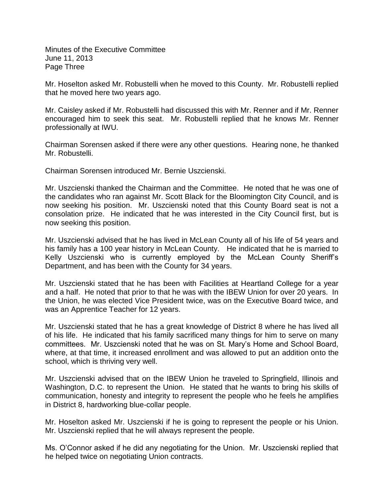Minutes of the Executive Committee June 11, 2013 Page Three

Mr. Hoselton asked Mr. Robustelli when he moved to this County. Mr. Robustelli replied that he moved here two years ago.

Mr. Caisley asked if Mr. Robustelli had discussed this with Mr. Renner and if Mr. Renner encouraged him to seek this seat. Mr. Robustelli replied that he knows Mr. Renner professionally at IWU.

Chairman Sorensen asked if there were any other questions. Hearing none, he thanked Mr. Robustelli.

Chairman Sorensen introduced Mr. Bernie Uszcienski.

Mr. Uszcienski thanked the Chairman and the Committee. He noted that he was one of the candidates who ran against Mr. Scott Black for the Bloomington City Council, and is now seeking his position. Mr. Uszcienski noted that this County Board seat is not a consolation prize. He indicated that he was interested in the City Council first, but is now seeking this position.

Mr. Uszcienski advised that he has lived in McLean County all of his life of 54 years and his family has a 100 year history in McLean County. He indicated that he is married to Kelly Uszcienski who is currently employed by the McLean County Sheriff's Department, and has been with the County for 34 years.

Mr. Uszcienski stated that he has been with Facilities at Heartland College for a year and a half. He noted that prior to that he was with the IBEW Union for over 20 years. In the Union, he was elected Vice President twice, was on the Executive Board twice, and was an Apprentice Teacher for 12 years.

Mr. Uszcienski stated that he has a great knowledge of District 8 where he has lived all of his life. He indicated that his family sacrificed many things for him to serve on many committees. Mr. Uszcienski noted that he was on St. Mary's Home and School Board, where, at that time, it increased enrollment and was allowed to put an addition onto the school, which is thriving very well.

Mr. Uszcienski advised that on the IBEW Union he traveled to Springfield, Illinois and Washington, D.C. to represent the Union. He stated that he wants to bring his skills of communication, honesty and integrity to represent the people who he feels he amplifies in District 8, hardworking blue-collar people.

Mr. Hoselton asked Mr. Uszcienski if he is going to represent the people or his Union. Mr. Uszcienski replied that he will always represent the people.

Ms. O'Connor asked if he did any negotiating for the Union. Mr. Uszcienski replied that he helped twice on negotiating Union contracts.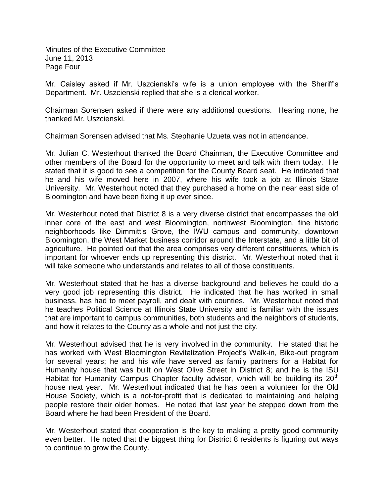Minutes of the Executive Committee June 11, 2013 Page Four

Mr. Caisley asked if Mr. Uszcienski's wife is a union employee with the Sheriff's Department. Mr. Uszcienski replied that she is a clerical worker.

Chairman Sorensen asked if there were any additional questions. Hearing none, he thanked Mr. Uszcienski.

Chairman Sorensen advised that Ms. Stephanie Uzueta was not in attendance.

Mr. Julian C. Westerhout thanked the Board Chairman, the Executive Committee and other members of the Board for the opportunity to meet and talk with them today. He stated that it is good to see a competition for the County Board seat. He indicated that he and his wife moved here in 2007, where his wife took a job at Illinois State University. Mr. Westerhout noted that they purchased a home on the near east side of Bloomington and have been fixing it up ever since.

Mr. Westerhout noted that District 8 is a very diverse district that encompasses the old inner core of the east and west Bloomington, northwest Bloomington, fine historic neighborhoods like Dimmitt's Grove, the IWU campus and community, downtown Bloomington, the West Market business corridor around the Interstate, and a little bit of agriculture. He pointed out that the area comprises very different constituents, which is important for whoever ends up representing this district. Mr. Westerhout noted that it will take someone who understands and relates to all of those constituents.

Mr. Westerhout stated that he has a diverse background and believes he could do a very good job representing this district. He indicated that he has worked in small business, has had to meet payroll, and dealt with counties. Mr. Westerhout noted that he teaches Political Science at Illinois State University and is familiar with the issues that are important to campus communities, both students and the neighbors of students, and how it relates to the County as a whole and not just the city.

Mr. Westerhout advised that he is very involved in the community. He stated that he has worked with West Bloomington Revitalization Project's Walk-in, Bike-out program for several years; he and his wife have served as family partners for a Habitat for Humanity house that was built on West Olive Street in District 8; and he is the ISU Habitat for Humanity Campus Chapter faculty advisor, which will be building its  $20<sup>th</sup>$ house next year. Mr. Westerhout indicated that he has been a volunteer for the Old House Society, which is a not-for-profit that is dedicated to maintaining and helping people restore their older homes. He noted that last year he stepped down from the Board where he had been President of the Board.

Mr. Westerhout stated that cooperation is the key to making a pretty good community even better. He noted that the biggest thing for District 8 residents is figuring out ways to continue to grow the County.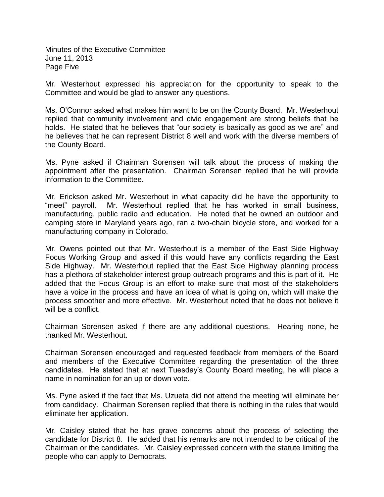Minutes of the Executive Committee June 11, 2013 Page Five

Mr. Westerhout expressed his appreciation for the opportunity to speak to the Committee and would be glad to answer any questions.

Ms. O'Connor asked what makes him want to be on the County Board. Mr. Westerhout replied that community involvement and civic engagement are strong beliefs that he holds. He stated that he believes that "our society is basically as good as we are" and he believes that he can represent District 8 well and work with the diverse members of the County Board.

Ms. Pyne asked if Chairman Sorensen will talk about the process of making the appointment after the presentation. Chairman Sorensen replied that he will provide information to the Committee.

Mr. Erickson asked Mr. Westerhout in what capacity did he have the opportunity to "meet" payroll. Mr. Westerhout replied that he has worked in small business, manufacturing, public radio and education. He noted that he owned an outdoor and camping store in Maryland years ago, ran a two-chain bicycle store, and worked for a manufacturing company in Colorado.

Mr. Owens pointed out that Mr. Westerhout is a member of the East Side Highway Focus Working Group and asked if this would have any conflicts regarding the East Side Highway. Mr. Westerhout replied that the East Side Highway planning process has a plethora of stakeholder interest group outreach programs and this is part of it. He added that the Focus Group is an effort to make sure that most of the stakeholders have a voice in the process and have an idea of what is going on, which will make the process smoother and more effective. Mr. Westerhout noted that he does not believe it will be a conflict.

Chairman Sorensen asked if there are any additional questions. Hearing none, he thanked Mr. Westerhout.

Chairman Sorensen encouraged and requested feedback from members of the Board and members of the Executive Committee regarding the presentation of the three candidates. He stated that at next Tuesday's County Board meeting, he will place a name in nomination for an up or down vote.

Ms. Pyne asked if the fact that Ms. Uzueta did not attend the meeting will eliminate her from candidacy. Chairman Sorensen replied that there is nothing in the rules that would eliminate her application.

Mr. Caisley stated that he has grave concerns about the process of selecting the candidate for District 8. He added that his remarks are not intended to be critical of the Chairman or the candidates. Mr. Caisley expressed concern with the statute limiting the people who can apply to Democrats.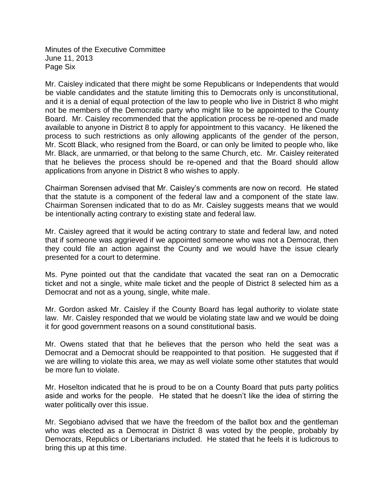Minutes of the Executive Committee June 11, 2013 Page Six

Mr. Caisley indicated that there might be some Republicans or Independents that would be viable candidates and the statute limiting this to Democrats only is unconstitutional, and it is a denial of equal protection of the law to people who live in District 8 who might not be members of the Democratic party who might like to be appointed to the County Board. Mr. Caisley recommended that the application process be re-opened and made available to anyone in District 8 to apply for appointment to this vacancy. He likened the process to such restrictions as only allowing applicants of the gender of the person, Mr. Scott Black, who resigned from the Board, or can only be limited to people who, like Mr. Black, are unmarried, or that belong to the same Church, etc. Mr. Caisley reiterated that he believes the process should be re-opened and that the Board should allow applications from anyone in District 8 who wishes to apply.

Chairman Sorensen advised that Mr. Caisley's comments are now on record. He stated that the statute is a component of the federal law and a component of the state law. Chairman Sorensen indicated that to do as Mr. Caisley suggests means that we would be intentionally acting contrary to existing state and federal law.

Mr. Caisley agreed that it would be acting contrary to state and federal law, and noted that if someone was aggrieved if we appointed someone who was not a Democrat, then they could file an action against the County and we would have the issue clearly presented for a court to determine.

Ms. Pyne pointed out that the candidate that vacated the seat ran on a Democratic ticket and not a single, white male ticket and the people of District 8 selected him as a Democrat and not as a young, single, white male.

Mr. Gordon asked Mr. Caisley if the County Board has legal authority to violate state law. Mr. Caisley responded that we would be violating state law and we would be doing it for good government reasons on a sound constitutional basis.

Mr. Owens stated that that he believes that the person who held the seat was a Democrat and a Democrat should be reappointed to that position. He suggested that if we are willing to violate this area, we may as well violate some other statutes that would be more fun to violate.

Mr. Hoselton indicated that he is proud to be on a County Board that puts party politics aside and works for the people. He stated that he doesn't like the idea of stirring the water politically over this issue.

Mr. Segobiano advised that we have the freedom of the ballot box and the gentleman who was elected as a Democrat in District 8 was voted by the people, probably by Democrats, Republics or Libertarians included. He stated that he feels it is ludicrous to bring this up at this time.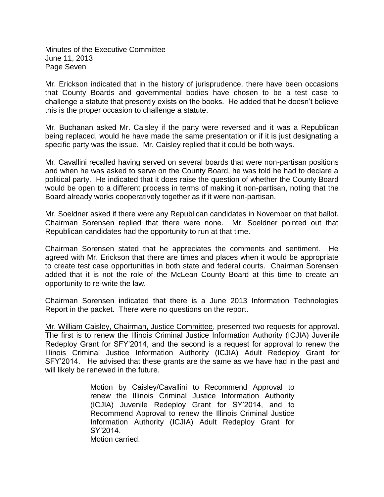Minutes of the Executive Committee June 11, 2013 Page Seven

Mr. Erickson indicated that in the history of jurisprudence, there have been occasions that County Boards and governmental bodies have chosen to be a test case to challenge a statute that presently exists on the books. He added that he doesn't believe this is the proper occasion to challenge a statute.

Mr. Buchanan asked Mr. Caisley if the party were reversed and it was a Republican being replaced, would he have made the same presentation or if it is just designating a specific party was the issue. Mr. Caisley replied that it could be both ways.

Mr. Cavallini recalled having served on several boards that were non-partisan positions and when he was asked to serve on the County Board, he was told he had to declare a political party. He indicated that it does raise the question of whether the County Board would be open to a different process in terms of making it non-partisan, noting that the Board already works cooperatively together as if it were non-partisan.

Mr. Soeldner asked if there were any Republican candidates in November on that ballot. Chairman Sorensen replied that there were none. Mr. Soeldner pointed out that Republican candidates had the opportunity to run at that time.

Chairman Sorensen stated that he appreciates the comments and sentiment. He agreed with Mr. Erickson that there are times and places when it would be appropriate to create test case opportunities in both state and federal courts. Chairman Sorensen added that it is not the role of the McLean County Board at this time to create an opportunity to re-write the law.

Chairman Sorensen indicated that there is a June 2013 Information Technologies Report in the packet. There were no questions on the report.

Mr. William Caisley, Chairman, Justice Committee, presented two requests for approval. The first is to renew the Illinois Criminal Justice Information Authority (ICJIA) Juvenile Redeploy Grant for SFY'2014, and the second is a request for approval to renew the Illinois Criminal Justice Information Authority (ICJIA) Adult Redeploy Grant for SFY'2014. He advised that these grants are the same as we have had in the past and will likely be renewed in the future.

> Motion by Caisley/Cavallini to Recommend Approval to renew the Illinois Criminal Justice Information Authority (ICJIA) Juvenile Redeploy Grant for SY'2014, and to Recommend Approval to renew the Illinois Criminal Justice Information Authority (ICJIA) Adult Redeploy Grant for SY'2014.

Motion carried.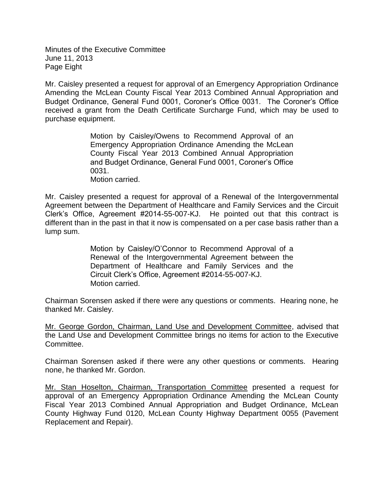Minutes of the Executive Committee June 11, 2013 Page Eight

Mr. Caisley presented a request for approval of an Emergency Appropriation Ordinance Amending the McLean County Fiscal Year 2013 Combined Annual Appropriation and Budget Ordinance, General Fund 0001, Coroner's Office 0031. The Coroner's Office received a grant from the Death Certificate Surcharge Fund, which may be used to purchase equipment.

> Motion by Caisley/Owens to Recommend Approval of an Emergency Appropriation Ordinance Amending the McLean County Fiscal Year 2013 Combined Annual Appropriation and Budget Ordinance, General Fund 0001, Coroner's Office 0031.

Motion carried.

Mr. Caisley presented a request for approval of a Renewal of the Intergovernmental Agreement between the Department of Healthcare and Family Services and the Circuit Clerk's Office, Agreement #2014-55-007-KJ. He pointed out that this contract is different than in the past in that it now is compensated on a per case basis rather than a lump sum.

> Motion by Caisley/O'Connor to Recommend Approval of a Renewal of the Intergovernmental Agreement between the Department of Healthcare and Family Services and the Circuit Clerk's Office, Agreement #2014-55-007-KJ. Motion carried.

Chairman Sorensen asked if there were any questions or comments. Hearing none, he thanked Mr. Caisley.

Mr. George Gordon, Chairman, Land Use and Development Committee, advised that the Land Use and Development Committee brings no items for action to the Executive Committee.

Chairman Sorensen asked if there were any other questions or comments. Hearing none, he thanked Mr. Gordon.

Mr. Stan Hoselton, Chairman, Transportation Committee presented a request for approval of an Emergency Appropriation Ordinance Amending the McLean County Fiscal Year 2013 Combined Annual Appropriation and Budget Ordinance, McLean County Highway Fund 0120, McLean County Highway Department 0055 (Pavement Replacement and Repair).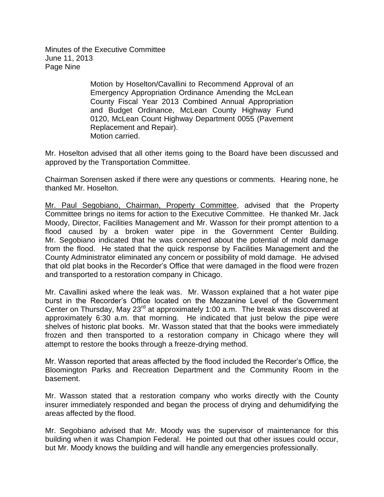Minutes of the Executive Committee June 11, 2013 Page Nine

> Motion by Hoselton/Cavallini to Recommend Approval of an Emergency Appropriation Ordinance Amending the McLean County Fiscal Year 2013 Combined Annual Appropriation and Budget Ordinance, McLean County Highway Fund 0120, McLean Count Highway Department 0055 (Pavement Replacement and Repair). Motion carried.

Mr. Hoselton advised that all other items going to the Board have been discussed and approved by the Transportation Committee.

Chairman Sorensen asked if there were any questions or comments. Hearing none, he thanked Mr. Hoselton.

Mr. Paul Segobiano, Chairman, Property Committee, advised that the Property Committee brings no items for action to the Executive Committee. He thanked Mr. Jack Moody, Director, Facilities Management and Mr. Wasson for their prompt attention to a flood caused by a broken water pipe in the Government Center Building. Mr. Segobiano indicated that he was concerned about the potential of mold damage from the flood. He stated that the quick response by Facilities Management and the County Administrator eliminated any concern or possibility of mold damage. He advised that old plat books in the Recorder's Office that were damaged in the flood were frozen and transported to a restoration company in Chicago.

Mr. Cavallini asked where the leak was. Mr. Wasson explained that a hot water pipe burst in the Recorder's Office located on the Mezzanine Level of the Government Center on Thursday, May 23<sup>rd</sup> at approximately 1:00 a.m. The break was discovered at approximately 6:30 a.m. that morning. He indicated that just below the pipe were shelves of historic plat books. Mr. Wasson stated that that the books were immediately frozen and then transported to a restoration company in Chicago where they will attempt to restore the books through a freeze-drying method.

Mr. Wasson reported that areas affected by the flood included the Recorder's Office, the Bloomington Parks and Recreation Department and the Community Room in the basement.

Mr. Wasson stated that a restoration company who works directly with the County insurer immediately responded and began the process of drying and dehumidifying the areas affected by the flood.

Mr. Segobiano advised that Mr. Moody was the supervisor of maintenance for this building when it was Champion Federal. He pointed out that other issues could occur, but Mr. Moody knows the building and will handle any emergencies professionally.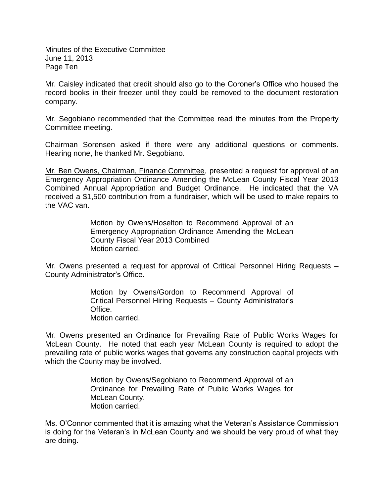Minutes of the Executive Committee June 11, 2013 Page Ten

Mr. Caisley indicated that credit should also go to the Coroner's Office who housed the record books in their freezer until they could be removed to the document restoration company.

Mr. Segobiano recommended that the Committee read the minutes from the Property Committee meeting.

Chairman Sorensen asked if there were any additional questions or comments. Hearing none, he thanked Mr. Segobiano.

Mr. Ben Owens, Chairman, Finance Committee, presented a request for approval of an Emergency Appropriation Ordinance Amending the McLean County Fiscal Year 2013 Combined Annual Appropriation and Budget Ordinance. He indicated that the VA received a \$1,500 contribution from a fundraiser, which will be used to make repairs to the VAC van.

> Motion by Owens/Hoselton to Recommend Approval of an Emergency Appropriation Ordinance Amending the McLean County Fiscal Year 2013 Combined Motion carried.

Mr. Owens presented a request for approval of Critical Personnel Hiring Requests – County Administrator's Office.

> Motion by Owens/Gordon to Recommend Approval of Critical Personnel Hiring Requests – County Administrator's Office. Motion carried.

Mr. Owens presented an Ordinance for Prevailing Rate of Public Works Wages for McLean County. He noted that each year McLean County is required to adopt the prevailing rate of public works wages that governs any construction capital projects with which the County may be involved.

> Motion by Owens/Segobiano to Recommend Approval of an Ordinance for Prevailing Rate of Public Works Wages for McLean County. Motion carried.

Ms. O'Connor commented that it is amazing what the Veteran's Assistance Commission is doing for the Veteran's in McLean County and we should be very proud of what they are doing.